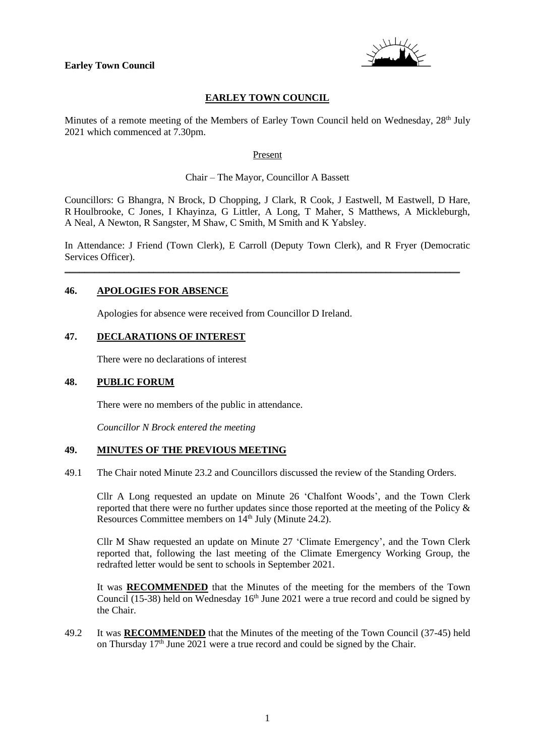

# **EARLEY TOWN COUNCIL**

Minutes of a remote meeting of the Members of Earley Town Council held on Wednesday,  $28<sup>th</sup>$  July 2021 which commenced at 7.30pm.

#### Present

### Chair – The Mayor, Councillor A Bassett

Councillors: G Bhangra, N Brock, D Chopping, J Clark, R Cook, J Eastwell, M Eastwell, D Hare, R Houlbrooke, C Jones, I Khayinza, G Littler, A Long, T Maher, S Matthews, A Mickleburgh, A Neal, A Newton, R Sangster, M Shaw, C Smith, M Smith and K Yabsley.

In Attendance: J Friend (Town Clerk), E Carroll (Deputy Town Clerk), and R Fryer (Democratic Services Officer).

\_\_\_\_\_\_\_\_\_\_\_\_\_\_\_\_\_\_\_\_\_\_\_\_\_\_\_\_\_\_\_\_\_\_\_\_\_\_\_\_\_\_\_\_\_\_\_\_\_\_\_\_\_\_\_\_\_\_\_\_\_\_\_\_\_\_\_\_\_\_\_\_\_\_\_\_\_\_\_\_

## **46. APOLOGIES FOR ABSENCE**

Apologies for absence were received from Councillor D Ireland.

## **47. DECLARATIONS OF INTEREST**

There were no declarations of interest

#### **48. PUBLIC FORUM**

There were no members of the public in attendance.

*Councillor N Brock entered the meeting*

#### **49. MINUTES OF THE PREVIOUS MEETING**

49.1 The Chair noted Minute 23.2 and Councillors discussed the review of the Standing Orders.

Cllr A Long requested an update on Minute 26 'Chalfont Woods', and the Town Clerk reported that there were no further updates since those reported at the meeting of the Policy & Resources Committee members on 14<sup>th</sup> July (Minute 24.2).

Cllr M Shaw requested an update on Minute 27 'Climate Emergency', and the Town Clerk reported that, following the last meeting of the Climate Emergency Working Group, the redrafted letter would be sent to schools in September 2021.

It was **RECOMMENDED** that the Minutes of the meeting for the members of the Town Council (15-38) held on Wednesday  $16<sup>th</sup>$  June 2021 were a true record and could be signed by the Chair.

49.2 It was **RECOMMENDED** that the Minutes of the meeting of the Town Council (37-45) held on Thursday  $17<sup>th</sup>$  June 2021 were a true record and could be signed by the Chair.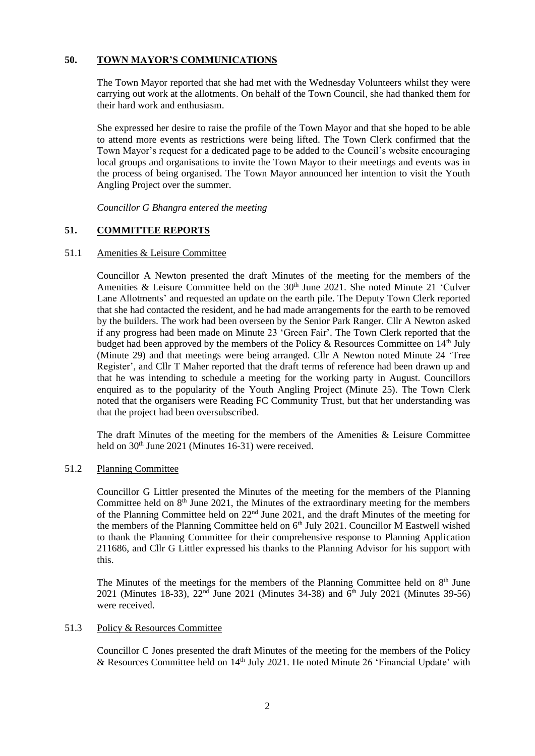# **50. TOWN MAYOR'S COMMUNICATIONS**

The Town Mayor reported that she had met with the Wednesday Volunteers whilst they were carrying out work at the allotments. On behalf of the Town Council, she had thanked them for their hard work and enthusiasm.

She expressed her desire to raise the profile of the Town Mayor and that she hoped to be able to attend more events as restrictions were being lifted. The Town Clerk confirmed that the Town Mayor's request for a dedicated page to be added to the Council's website encouraging local groups and organisations to invite the Town Mayor to their meetings and events was in the process of being organised. The Town Mayor announced her intention to visit the Youth Angling Project over the summer.

*Councillor G Bhangra entered the meeting*

# **51. COMMITTEE REPORTS**

### 51.1 Amenities & Leisure Committee

Councillor A Newton presented the draft Minutes of the meeting for the members of the Amenities & Leisure Committee held on the 30<sup>th</sup> June 2021. She noted Minute 21 'Culver Lane Allotments' and requested an update on the earth pile. The Deputy Town Clerk reported that she had contacted the resident, and he had made arrangements for the earth to be removed by the builders. The work had been overseen by the Senior Park Ranger. Cllr A Newton asked if any progress had been made on Minute 23 'Green Fair'. The Town Clerk reported that the budget had been approved by the members of the Policy & Resources Committee on  $14<sup>th</sup>$  July (Minute 29) and that meetings were being arranged. Cllr A Newton noted Minute 24 'Tree Register', and Cllr T Maher reported that the draft terms of reference had been drawn up and that he was intending to schedule a meeting for the working party in August. Councillors enquired as to the popularity of the Youth Angling Project (Minute 25). The Town Clerk noted that the organisers were Reading FC Community Trust, but that her understanding was that the project had been oversubscribed.

The draft Minutes of the meeting for the members of the Amenities  $\&$  Leisure Committee held on  $30<sup>th</sup>$  June 2021 (Minutes 16-31) were received.

## 51.2 Planning Committee

Councillor G Littler presented the Minutes of the meeting for the members of the Planning Committee held on 8<sup>th</sup> June 2021, the Minutes of the extraordinary meeting for the members of the Planning Committee held on 22nd June 2021, and the draft Minutes of the meeting for the members of the Planning Committee held on 6<sup>th</sup> July 2021. Councillor M Eastwell wished to thank the Planning Committee for their comprehensive response to Planning Application 211686, and Cllr G Littler expressed his thanks to the Planning Advisor for his support with this.

The Minutes of the meetings for the members of the Planning Committee held on  $8<sup>th</sup>$  June 2021 (Minutes 18-33), 22<sup>nd</sup> June 2021 (Minutes 34-38) and 6<sup>th</sup> July 2021 (Minutes 39-56) were received.

#### 51.3 Policy & Resources Committee

Councillor C Jones presented the draft Minutes of the meeting for the members of the Policy  $\&$  Resources Committee held on 14<sup>th</sup> July 2021. He noted Minute 26 'Financial Update' with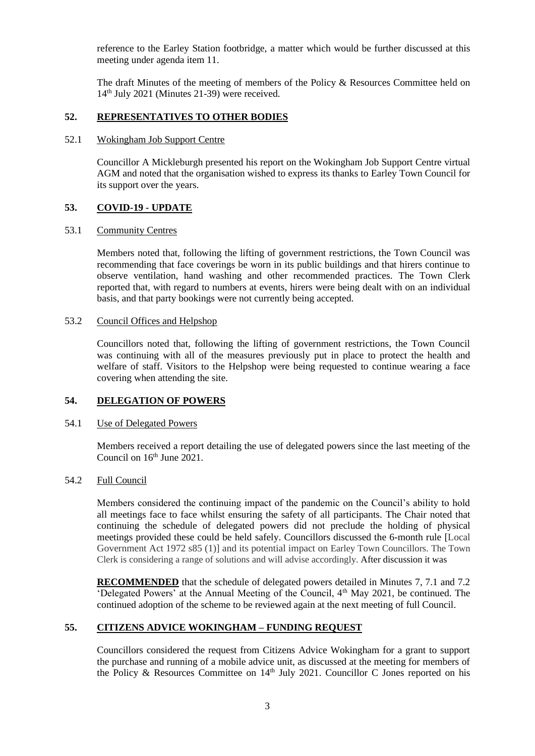reference to the Earley Station footbridge, a matter which would be further discussed at this meeting under agenda item 11.

The draft Minutes of the meeting of members of the Policy & Resources Committee held on 14th July 2021 (Minutes 21-39) were received.

## **52. REPRESENTATIVES TO OTHER BODIES**

### 52.1 Wokingham Job Support Centre

Councillor A Mickleburgh presented his report on the Wokingham Job Support Centre virtual AGM and noted that the organisation wished to express its thanks to Earley Town Council for its support over the years.

# **53. COVID-19 - UPDATE**

### 53.1 Community Centres

Members noted that, following the lifting of government restrictions, the Town Council was recommending that face coverings be worn in its public buildings and that hirers continue to observe ventilation, hand washing and other recommended practices. The Town Clerk reported that, with regard to numbers at events, hirers were being dealt with on an individual basis, and that party bookings were not currently being accepted.

# 53.2 Council Offices and Helpshop

Councillors noted that, following the lifting of government restrictions, the Town Council was continuing with all of the measures previously put in place to protect the health and welfare of staff. Visitors to the Helpshop were being requested to continue wearing a face covering when attending the site.

## **54. DELEGATION OF POWERS**

#### 54.1 Use of Delegated Powers

Members received a report detailing the use of delegated powers since the last meeting of the Council on  $16<sup>th</sup>$  June  $2021$ .

# 54.2 Full Council

Members considered the continuing impact of the pandemic on the Council's ability to hold all meetings face to face whilst ensuring the safety of all participants. The Chair noted that continuing the schedule of delegated powers did not preclude the holding of physical meetings provided these could be held safely. Councillors discussed the 6-month rule [Local Government Act 1972 s85 (1)] and its potential impact on Earley Town Councillors. The Town Clerk is considering a range of solutions and will advise accordingly. After discussion it was

**RECOMMENDED** that the schedule of delegated powers detailed in Minutes 7, 7.1 and 7.2 'Delegated Powers' at the Annual Meeting of the Council,  $4<sup>th</sup>$  May 2021, be continued. The continued adoption of the scheme to be reviewed again at the next meeting of full Council.

# **55. CITIZENS ADVICE WOKINGHAM – FUNDING REQUEST**

Councillors considered the request from Citizens Advice Wokingham for a grant to support the purchase and running of a mobile advice unit, as discussed at the meeting for members of the Policy & Resources Committee on  $14<sup>th</sup>$  July 2021. Councillor C Jones reported on his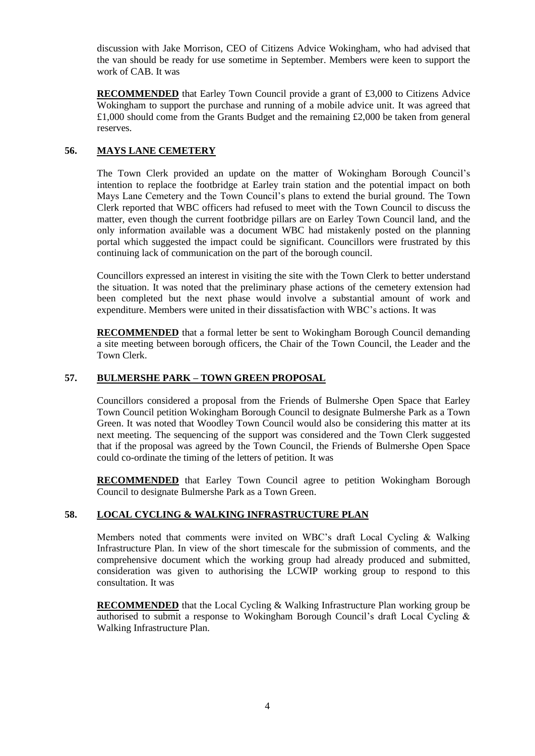discussion with Jake Morrison, CEO of Citizens Advice Wokingham, who had advised that the van should be ready for use sometime in September. Members were keen to support the work of CAB. It was

**RECOMMENDED** that Earley Town Council provide a grant of £3,000 to Citizens Advice Wokingham to support the purchase and running of a mobile advice unit. It was agreed that £1,000 should come from the Grants Budget and the remaining £2,000 be taken from general reserves.

# **56. MAYS LANE CEMETERY**

The Town Clerk provided an update on the matter of Wokingham Borough Council's intention to replace the footbridge at Earley train station and the potential impact on both Mays Lane Cemetery and the Town Council's plans to extend the burial ground. The Town Clerk reported that WBC officers had refused to meet with the Town Council to discuss the matter, even though the current footbridge pillars are on Earley Town Council land, and the only information available was a document WBC had mistakenly posted on the planning portal which suggested the impact could be significant. Councillors were frustrated by this continuing lack of communication on the part of the borough council.

Councillors expressed an interest in visiting the site with the Town Clerk to better understand the situation. It was noted that the preliminary phase actions of the cemetery extension had been completed but the next phase would involve a substantial amount of work and expenditure. Members were united in their dissatisfaction with WBC's actions. It was

**RECOMMENDED** that a formal letter be sent to Wokingham Borough Council demanding a site meeting between borough officers, the Chair of the Town Council, the Leader and the Town Clerk.

# **57. BULMERSHE PARK – TOWN GREEN PROPOSAL**

Councillors considered a proposal from the Friends of Bulmershe Open Space that Earley Town Council petition Wokingham Borough Council to designate Bulmershe Park as a Town Green. It was noted that Woodley Town Council would also be considering this matter at its next meeting. The sequencing of the support was considered and the Town Clerk suggested that if the proposal was agreed by the Town Council, the Friends of Bulmershe Open Space could co-ordinate the timing of the letters of petition. It was

**RECOMMENDED** that Earley Town Council agree to petition Wokingham Borough Council to designate Bulmershe Park as a Town Green.

# **58. LOCAL CYCLING & WALKING INFRASTRUCTURE PLAN**

Members noted that comments were invited on WBC's draft Local Cycling & Walking Infrastructure Plan. In view of the short timescale for the submission of comments, and the comprehensive document which the working group had already produced and submitted, consideration was given to authorising the LCWIP working group to respond to this consultation. It was

**RECOMMENDED** that the Local Cycling & Walking Infrastructure Plan working group be authorised to submit a response to Wokingham Borough Council's draft Local Cycling & Walking Infrastructure Plan.